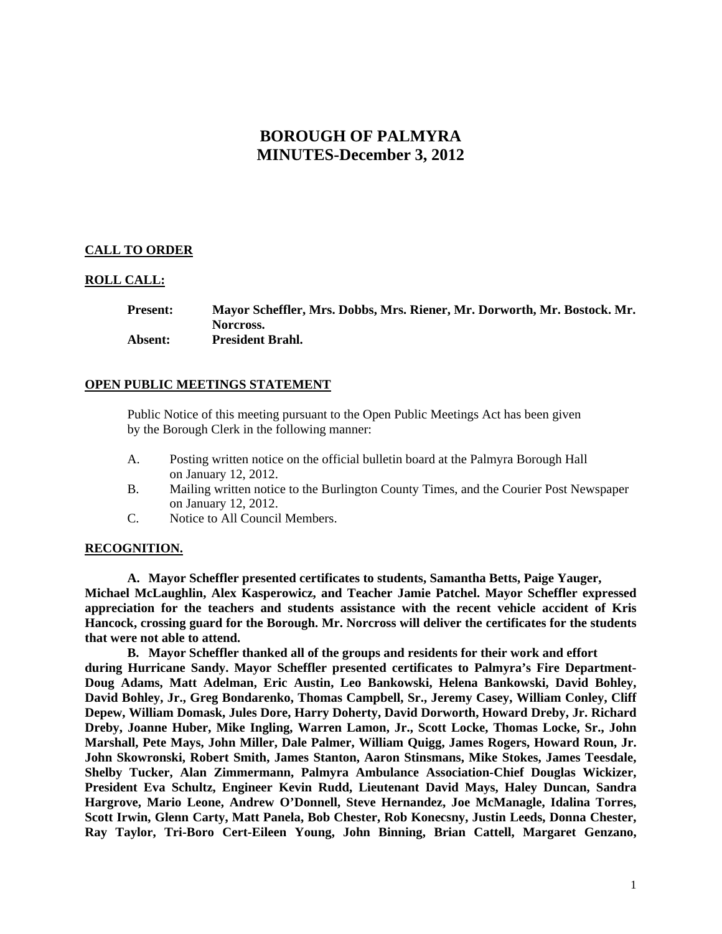# **BOROUGH OF PALMYRA MINUTES-December 3, 2012**

## **CALL TO ORDER**

## **ROLL CALL:**

**Present: Mayor Scheffler, Mrs. Dobbs, Mrs. Riener, Mr. Dorworth, Mr. Bostock. Mr. Norcross. Absent: President Brahl.** 

## **OPEN PUBLIC MEETINGS STATEMENT**

 Public Notice of this meeting pursuant to the Open Public Meetings Act has been given by the Borough Clerk in the following manner:

- A. Posting written notice on the official bulletin board at the Palmyra Borough Hall on January 12, 2012.
- B. Mailing written notice to the Burlington County Times, and the Courier Post Newspaper on January 12, 2012.
- C. Notice to All Council Members.

#### **RECOGNITION.**

**A. Mayor Scheffler presented certificates to students, Samantha Betts, Paige Yauger, Michael McLaughlin, Alex Kasperowicz, and Teacher Jamie Patchel. Mayor Scheffler expressed appreciation for the teachers and students assistance with the recent vehicle accident of Kris Hancock, crossing guard for the Borough. Mr. Norcross will deliver the certificates for the students that were not able to attend.** 

**B. Mayor Scheffler thanked all of the groups and residents for their work and effort during Hurricane Sandy. Mayor Scheffler presented certificates to Palmyra's Fire Department-Doug Adams, Matt Adelman, Eric Austin, Leo Bankowski, Helena Bankowski, David Bohley, David Bohley, Jr., Greg Bondarenko, Thomas Campbell, Sr., Jeremy Casey, William Conley, Cliff Depew, William Domask, Jules Dore, Harry Doherty, David Dorworth, Howard Dreby, Jr. Richard Dreby, Joanne Huber, Mike Ingling, Warren Lamon, Jr., Scott Locke, Thomas Locke, Sr., John Marshall, Pete Mays, John Miller, Dale Palmer, William Quigg, James Rogers, Howard Roun, Jr. John Skowronski, Robert Smith, James Stanton, Aaron Stinsmans, Mike Stokes, James Teesdale, Shelby Tucker, Alan Zimmermann, Palmyra Ambulance Association-Chief Douglas Wickizer, President Eva Schultz, Engineer Kevin Rudd, Lieutenant David Mays, Haley Duncan, Sandra Hargrove, Mario Leone, Andrew O'Donnell, Steve Hernandez, Joe McManagle, Idalina Torres, Scott Irwin, Glenn Carty, Matt Panela, Bob Chester, Rob Konecsny, Justin Leeds, Donna Chester, Ray Taylor, Tri-Boro Cert-Eileen Young, John Binning, Brian Cattell, Margaret Genzano,**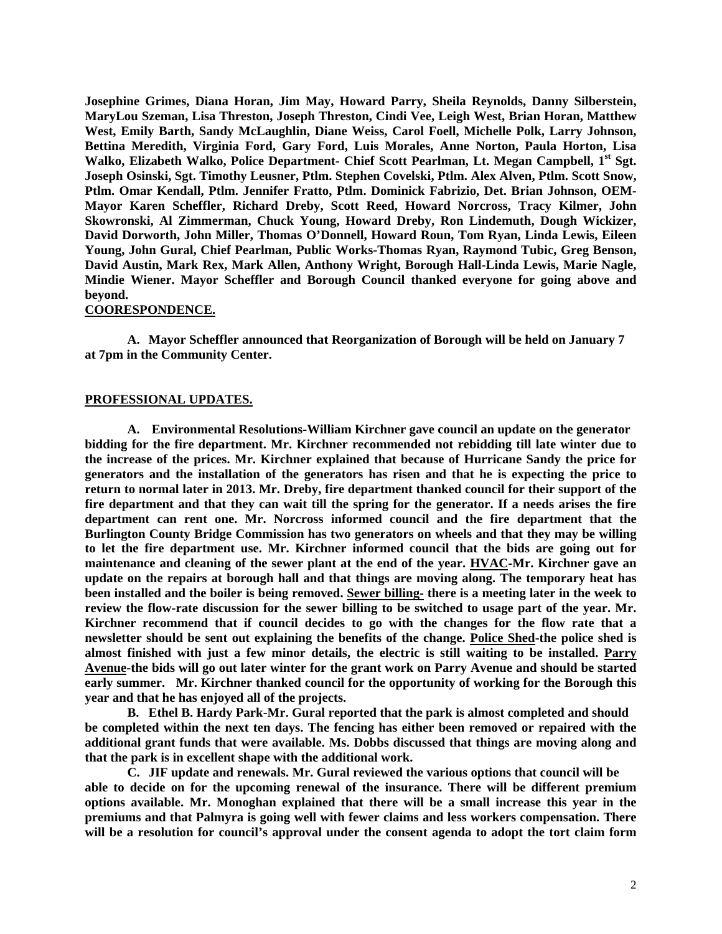**Josephine Grimes, Diana Horan, Jim May, Howard Parry, Sheila Reynolds, Danny Silberstein, MaryLou Szeman, Lisa Threston, Joseph Threston, Cindi Vee, Leigh West, Brian Horan, Matthew West, Emily Barth, Sandy McLaughlin, Diane Weiss, Carol Foell, Michelle Polk, Larry Johnson, Bettina Meredith, Virginia Ford, Gary Ford, Luis Morales, Anne Norton, Paula Horton, Lisa Walko, Elizabeth Walko, Police Department- Chief Scott Pearlman, Lt. Megan Campbell, 1st Sgt. Joseph Osinski, Sgt. Timothy Leusner, Ptlm. Stephen Covelski, Ptlm. Alex Alven, Ptlm. Scott Snow, Ptlm. Omar Kendall, Ptlm. Jennifer Fratto, Ptlm. Dominick Fabrizio, Det. Brian Johnson, OEM-Mayor Karen Scheffler, Richard Dreby, Scott Reed, Howard Norcross, Tracy Kilmer, John Skowronski, Al Zimmerman, Chuck Young, Howard Dreby, Ron Lindemuth, Dough Wickizer, David Dorworth, John Miller, Thomas O'Donnell, Howard Roun, Tom Ryan, Linda Lewis, Eileen Young, John Gural, Chief Pearlman, Public Works-Thomas Ryan, Raymond Tubic, Greg Benson, David Austin, Mark Rex, Mark Allen, Anthony Wright, Borough Hall-Linda Lewis, Marie Nagle, Mindie Wiener. Mayor Scheffler and Borough Council thanked everyone for going above and beyond.** 

#### **COORESPONDENCE.**

**A. Mayor Scheffler announced that Reorganization of Borough will be held on January 7 at 7pm in the Community Center.** 

#### **PROFESSIONAL UPDATES.**

**A. Environmental Resolutions-William Kirchner gave council an update on the generator bidding for the fire department. Mr. Kirchner recommended not rebidding till late winter due to the increase of the prices. Mr. Kirchner explained that because of Hurricane Sandy the price for generators and the installation of the generators has risen and that he is expecting the price to return to normal later in 2013. Mr. Dreby, fire department thanked council for their support of the fire department and that they can wait till the spring for the generator. If a needs arises the fire department can rent one. Mr. Norcross informed council and the fire department that the Burlington County Bridge Commission has two generators on wheels and that they may be willing to let the fire department use. Mr. Kirchner informed council that the bids are going out for maintenance and cleaning of the sewer plant at the end of the year. HVAC-Mr. Kirchner gave an update on the repairs at borough hall and that things are moving along. The temporary heat has been installed and the boiler is being removed. Sewer billing- there is a meeting later in the week to review the flow-rate discussion for the sewer billing to be switched to usage part of the year. Mr. Kirchner recommend that if council decides to go with the changes for the flow rate that a newsletter should be sent out explaining the benefits of the change. Police Shed-the police shed is almost finished with just a few minor details, the electric is still waiting to be installed. Parry Avenue-the bids will go out later winter for the grant work on Parry Avenue and should be started early summer. Mr. Kirchner thanked council for the opportunity of working for the Borough this year and that he has enjoyed all of the projects.** 

**B. Ethel B. Hardy Park-Mr. Gural reported that the park is almost completed and should be completed within the next ten days. The fencing has either been removed or repaired with the additional grant funds that were available. Ms. Dobbs discussed that things are moving along and that the park is in excellent shape with the additional work.** 

**C. JIF update and renewals. Mr. Gural reviewed the various options that council will be able to decide on for the upcoming renewal of the insurance. There will be different premium options available. Mr. Monoghan explained that there will be a small increase this year in the premiums and that Palmyra is going well with fewer claims and less workers compensation. There will be a resolution for council's approval under the consent agenda to adopt the tort claim form**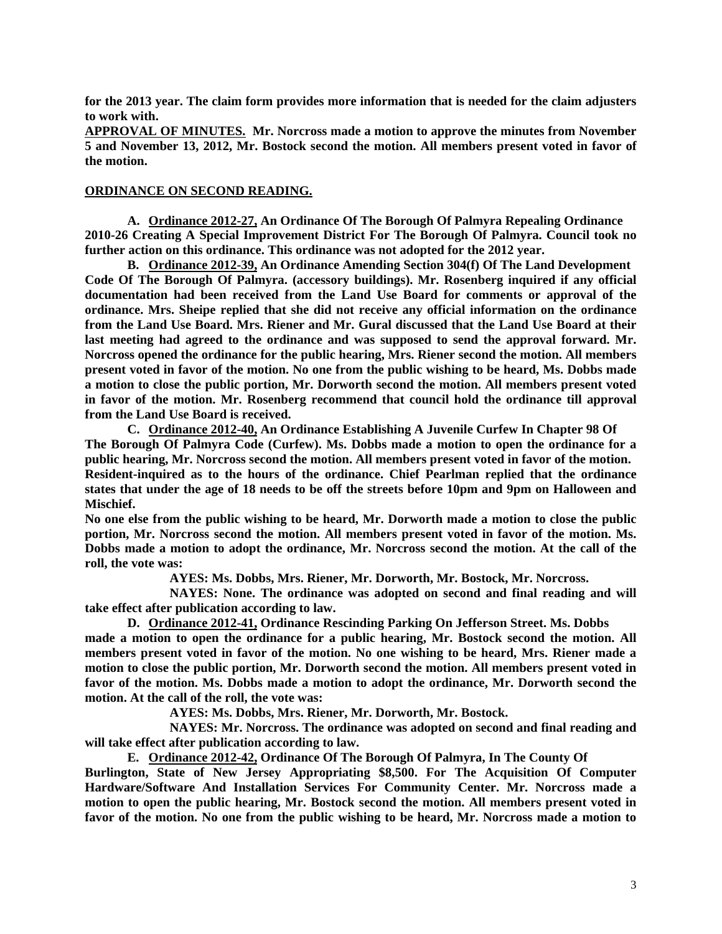**for the 2013 year. The claim form provides more information that is needed for the claim adjusters to work with.** 

**APPROVAL OF MINUTES. Mr. Norcross made a motion to approve the minutes from November 5 and November 13, 2012, Mr. Bostock second the motion. All members present voted in favor of the motion.** 

### **ORDINANCE ON SECOND READING.**

**A. Ordinance 2012-27, An Ordinance Of The Borough Of Palmyra Repealing Ordinance 2010-26 Creating A Special Improvement District For The Borough Of Palmyra. Council took no further action on this ordinance. This ordinance was not adopted for the 2012 year.** 

**B. Ordinance 2012-39, An Ordinance Amending Section 304(f) Of The Land Development Code Of The Borough Of Palmyra. (accessory buildings). Mr. Rosenberg inquired if any official documentation had been received from the Land Use Board for comments or approval of the ordinance. Mrs. Sheipe replied that she did not receive any official information on the ordinance from the Land Use Board. Mrs. Riener and Mr. Gural discussed that the Land Use Board at their last meeting had agreed to the ordinance and was supposed to send the approval forward. Mr. Norcross opened the ordinance for the public hearing, Mrs. Riener second the motion. All members present voted in favor of the motion. No one from the public wishing to be heard, Ms. Dobbs made a motion to close the public portion, Mr. Dorworth second the motion. All members present voted in favor of the motion. Mr. Rosenberg recommend that council hold the ordinance till approval from the Land Use Board is received.** 

**C. Ordinance 2012-40, An Ordinance Establishing A Juvenile Curfew In Chapter 98 Of The Borough Of Palmyra Code (Curfew). Ms. Dobbs made a motion to open the ordinance for a public hearing, Mr. Norcross second the motion. All members present voted in favor of the motion. Resident-inquired as to the hours of the ordinance. Chief Pearlman replied that the ordinance states that under the age of 18 needs to be off the streets before 10pm and 9pm on Halloween and Mischief.** 

**No one else from the public wishing to be heard, Mr. Dorworth made a motion to close the public portion, Mr. Norcross second the motion. All members present voted in favor of the motion. Ms. Dobbs made a motion to adopt the ordinance, Mr. Norcross second the motion. At the call of the roll, the vote was:** 

 **AYES: Ms. Dobbs, Mrs. Riener, Mr. Dorworth, Mr. Bostock, Mr. Norcross.** 

 **NAYES: None. The ordinance was adopted on second and final reading and will take effect after publication according to law.** 

**D. Ordinance 2012-41, Ordinance Rescinding Parking On Jefferson Street. Ms. Dobbs made a motion to open the ordinance for a public hearing, Mr. Bostock second the motion. All members present voted in favor of the motion. No one wishing to be heard, Mrs. Riener made a motion to close the public portion, Mr. Dorworth second the motion. All members present voted in favor of the motion. Ms. Dobbs made a motion to adopt the ordinance, Mr. Dorworth second the motion. At the call of the roll, the vote was:** 

**AYES: Ms. Dobbs, Mrs. Riener, Mr. Dorworth, Mr. Bostock.** 

 **NAYES: Mr. Norcross. The ordinance was adopted on second and final reading and will take effect after publication according to law.** 

**E. Ordinance 2012-42, Ordinance Of The Borough Of Palmyra, In The County Of** 

**Burlington, State of New Jersey Appropriating \$8,500. For The Acquisition Of Computer Hardware/Software And Installation Services For Community Center. Mr. Norcross made a motion to open the public hearing, Mr. Bostock second the motion. All members present voted in favor of the motion. No one from the public wishing to be heard, Mr. Norcross made a motion to**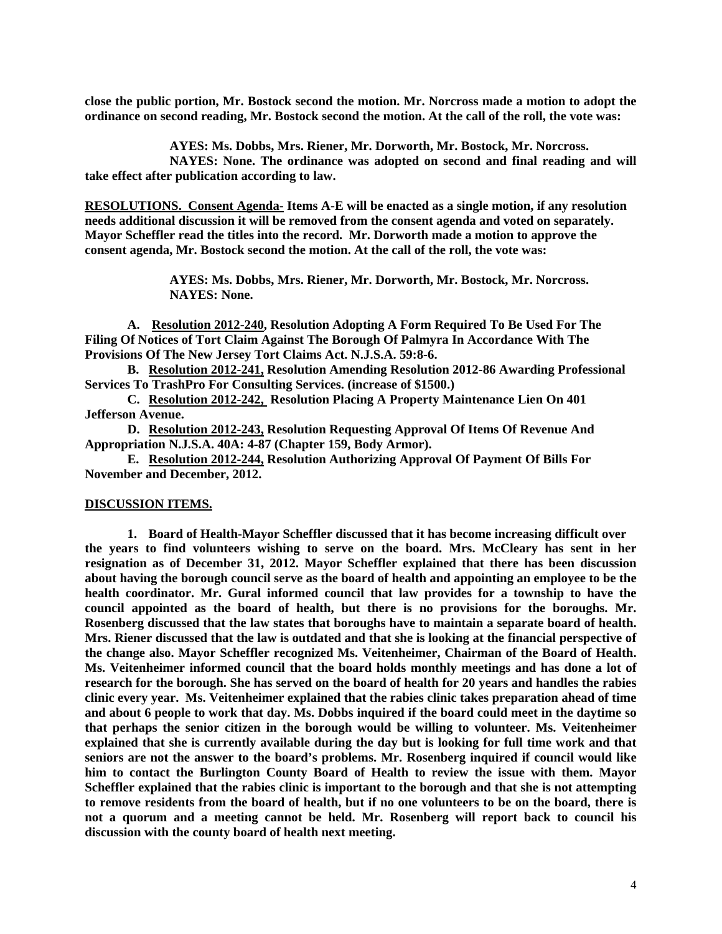**close the public portion, Mr. Bostock second the motion. Mr. Norcross made a motion to adopt the ordinance on second reading, Mr. Bostock second the motion. At the call of the roll, the vote was:** 

**AYES: Ms. Dobbs, Mrs. Riener, Mr. Dorworth, Mr. Bostock, Mr. Norcross.** 

 **NAYES: None. The ordinance was adopted on second and final reading and will take effect after publication according to law.** 

**RESOLUTIONS. Consent Agenda- Items A-E will be enacted as a single motion, if any resolution needs additional discussion it will be removed from the consent agenda and voted on separately. Mayor Scheffler read the titles into the record. Mr. Dorworth made a motion to approve the consent agenda, Mr. Bostock second the motion. At the call of the roll, the vote was:** 

> **AYES: Ms. Dobbs, Mrs. Riener, Mr. Dorworth, Mr. Bostock, Mr. Norcross. NAYES: None.**

**A. Resolution 2012-240, Resolution Adopting A Form Required To Be Used For The Filing Of Notices of Tort Claim Against The Borough Of Palmyra In Accordance With The Provisions Of The New Jersey Tort Claims Act. N.J.S.A. 59:8-6.** 

**B. Resolution 2012-241, Resolution Amending Resolution 2012-86 Awarding Professional Services To TrashPro For Consulting Services. (increase of \$1500.)** 

**C. Resolution 2012-242, Resolution Placing A Property Maintenance Lien On 401 Jefferson Avenue.** 

**D. Resolution 2012-243, Resolution Requesting Approval Of Items Of Revenue And Appropriation N.J.S.A. 40A: 4-87 (Chapter 159, Body Armor).** 

**E. Resolution 2012-244, Resolution Authorizing Approval Of Payment Of Bills For November and December, 2012.** 

#### **DISCUSSION ITEMS.**

**1. Board of Health-Mayor Scheffler discussed that it has become increasing difficult over the years to find volunteers wishing to serve on the board. Mrs. McCleary has sent in her resignation as of December 31, 2012. Mayor Scheffler explained that there has been discussion about having the borough council serve as the board of health and appointing an employee to be the health coordinator. Mr. Gural informed council that law provides for a township to have the council appointed as the board of health, but there is no provisions for the boroughs. Mr. Rosenberg discussed that the law states that boroughs have to maintain a separate board of health. Mrs. Riener discussed that the law is outdated and that she is looking at the financial perspective of the change also. Mayor Scheffler recognized Ms. Veitenheimer, Chairman of the Board of Health. Ms. Veitenheimer informed council that the board holds monthly meetings and has done a lot of research for the borough. She has served on the board of health for 20 years and handles the rabies clinic every year. Ms. Veitenheimer explained that the rabies clinic takes preparation ahead of time and about 6 people to work that day. Ms. Dobbs inquired if the board could meet in the daytime so that perhaps the senior citizen in the borough would be willing to volunteer. Ms. Veitenheimer explained that she is currently available during the day but is looking for full time work and that seniors are not the answer to the board's problems. Mr. Rosenberg inquired if council would like him to contact the Burlington County Board of Health to review the issue with them. Mayor Scheffler explained that the rabies clinic is important to the borough and that she is not attempting to remove residents from the board of health, but if no one volunteers to be on the board, there is not a quorum and a meeting cannot be held. Mr. Rosenberg will report back to council his discussion with the county board of health next meeting.**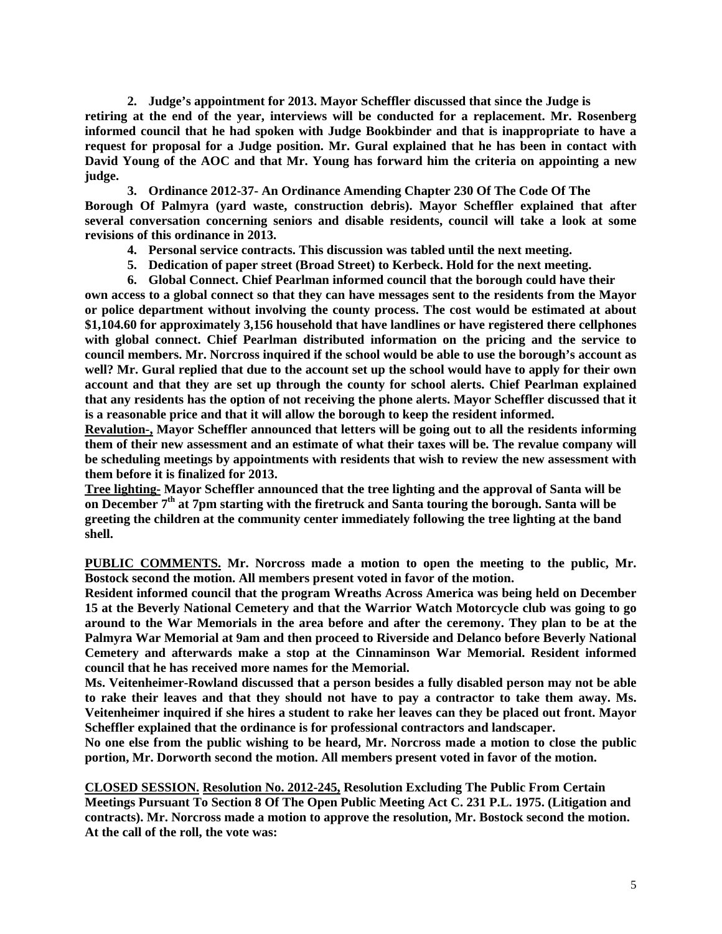**2. Judge's appointment for 2013. Mayor Scheffler discussed that since the Judge is retiring at the end of the year, interviews will be conducted for a replacement. Mr. Rosenberg informed council that he had spoken with Judge Bookbinder and that is inappropriate to have a request for proposal for a Judge position. Mr. Gural explained that he has been in contact with David Young of the AOC and that Mr. Young has forward him the criteria on appointing a new judge.** 

**3. Ordinance 2012-37- An Ordinance Amending Chapter 230 Of The Code Of The Borough Of Palmyra (yard waste, construction debris). Mayor Scheffler explained that after several conversation concerning seniors and disable residents, council will take a look at some revisions of this ordinance in 2013.** 

- **4. Personal service contracts. This discussion was tabled until the next meeting.**
- **5. Dedication of paper street (Broad Street) to Kerbeck. Hold for the next meeting.**
- **6. Global Connect. Chief Pearlman informed council that the borough could have their**

**own access to a global connect so that they can have messages sent to the residents from the Mayor or police department without involving the county process. The cost would be estimated at about \$1,104.60 for approximately 3,156 household that have landlines or have registered there cellphones with global connect. Chief Pearlman distributed information on the pricing and the service to council members. Mr. Norcross inquired if the school would be able to use the borough's account as well? Mr. Gural replied that due to the account set up the school would have to apply for their own account and that they are set up through the county for school alerts. Chief Pearlman explained that any residents has the option of not receiving the phone alerts. Mayor Scheffler discussed that it is a reasonable price and that it will allow the borough to keep the resident informed.** 

**Revalution-, Mayor Scheffler announced that letters will be going out to all the residents informing them of their new assessment and an estimate of what their taxes will be. The revalue company will be scheduling meetings by appointments with residents that wish to review the new assessment with them before it is finalized for 2013.** 

**Tree lighting- Mayor Scheffler announced that the tree lighting and the approval of Santa will be on December 7th at 7pm starting with the firetruck and Santa touring the borough. Santa will be greeting the children at the community center immediately following the tree lighting at the band shell.** 

**PUBLIC COMMENTS. Mr. Norcross made a motion to open the meeting to the public, Mr. Bostock second the motion. All members present voted in favor of the motion.** 

**Resident informed council that the program Wreaths Across America was being held on December 15 at the Beverly National Cemetery and that the Warrior Watch Motorcycle club was going to go around to the War Memorials in the area before and after the ceremony. They plan to be at the Palmyra War Memorial at 9am and then proceed to Riverside and Delanco before Beverly National Cemetery and afterwards make a stop at the Cinnaminson War Memorial. Resident informed council that he has received more names for the Memorial.** 

**Ms. Veitenheimer-Rowland discussed that a person besides a fully disabled person may not be able to rake their leaves and that they should not have to pay a contractor to take them away. Ms. Veitenheimer inquired if she hires a student to rake her leaves can they be placed out front. Mayor Scheffler explained that the ordinance is for professional contractors and landscaper.** 

**No one else from the public wishing to be heard, Mr. Norcross made a motion to close the public portion, Mr. Dorworth second the motion. All members present voted in favor of the motion.** 

**CLOSED SESSION. Resolution No. 2012-245, Resolution Excluding The Public From Certain Meetings Pursuant To Section 8 Of The Open Public Meeting Act C. 231 P.L. 1975. (Litigation and contracts). Mr. Norcross made a motion to approve the resolution, Mr. Bostock second the motion. At the call of the roll, the vote was:**